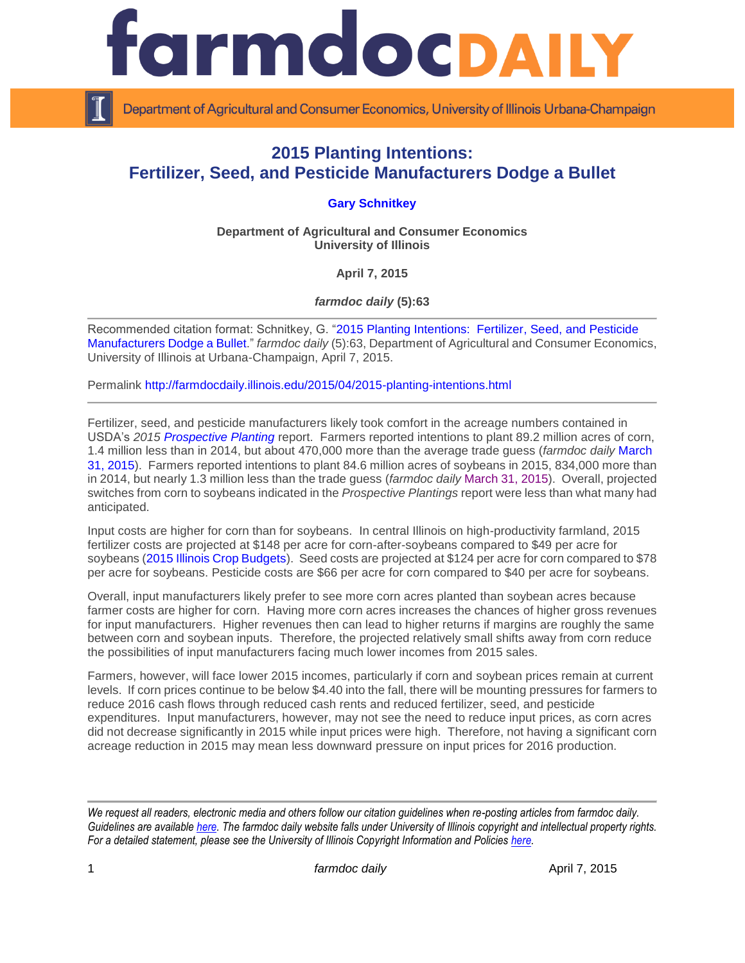

Department of Agricultural and Consumer Economics, University of Illinois Urbana-Champaign

## **2015 Planting Intentions: Fertilizer, Seed, and Pesticide Manufacturers Dodge a Bullet**

## **[Gary Schnitkey](http://farmdoc.illinois.edu/schnitkey/)**

**Department of Agricultural and Consumer Economics University of Illinois**

**April 7, 2015**

*farmdoc daily* **(5):63**

Recommended citation format: Schnitkey, G. ["2015 Planting Intentions: Fertilizer, Seed, and Pesticide](http://farmdocdaily.illinois.edu/2015/04/2015-planting-intentions.html)  [Manufacturers Dodge a Bullet.](http://farmdocdaily.illinois.edu/2015/04/2015-planting-intentions.html)" *farmdoc daily* (5):63, Department of Agricultural and Consumer Economics, University of Illinois at Urbana-Champaign, April 7, 2015.

Permalink<http://farmdocdaily.illinois.edu/2015/04/2015-planting-intentions.html>

Fertilizer, seed, and pesticide manufacturers likely took comfort in the acreage numbers contained in USDA's *2015 [Prospective Planting](http://usda.mannlib.cornell.edu/MannUsda/viewDocumentInfo.do?documentID=1136)* report. Farmers reported intentions to plant 89.2 million acres of corn, 1.4 million less than in 2014, but about 470,000 more than the average trade guess (*farmdoc daily* [March](http://farmdocdaily.illinois.edu/2015/03/usda-stocks-and-acreage-estimates-for-soybeans-and-corn.html)  [31, 2015\)](http://farmdocdaily.illinois.edu/2015/03/usda-stocks-and-acreage-estimates-for-soybeans-and-corn.html). Farmers reported intentions to plant 84.6 million acres of soybeans in 2015, 834,000 more than in 2014, but nearly 1.3 million less than the trade guess (*farmdoc daily* [March 31, 2015\)](http://farmdocdaily.illinois.edu/2015/03/usda-stocks-and-acreage-estimates-for-soybeans-and-corn.html). Overall, projected switches from corn to soybeans indicated in the *Prospective Plantings* report were less than what many had anticipated.

Input costs are higher for corn than for soybeans. In central Illinois on high-productivity farmland, 2015 fertilizer costs are projected at \$148 per acre for corn-after-soybeans compared to \$49 per acre for soybeans [\(2015 Illinois Crop Budgets\)](http://farmdoc.illinois.edu/manage/2015_crop_budgets.pdf). Seed costs are projected at \$124 per acre for corn compared to \$78 per acre for soybeans. Pesticide costs are \$66 per acre for corn compared to \$40 per acre for soybeans.

Overall, input manufacturers likely prefer to see more corn acres planted than soybean acres because farmer costs are higher for corn. Having more corn acres increases the chances of higher gross revenues for input manufacturers. Higher revenues then can lead to higher returns if margins are roughly the same between corn and soybean inputs. Therefore, the projected relatively small shifts away from corn reduce the possibilities of input manufacturers facing much lower incomes from 2015 sales.

Farmers, however, will face lower 2015 incomes, particularly if corn and soybean prices remain at current levels. If corn prices continue to be below \$4.40 into the fall, there will be mounting pressures for farmers to reduce 2016 cash flows through reduced cash rents and reduced fertilizer, seed, and pesticide expenditures. Input manufacturers, however, may not see the need to reduce input prices, as corn acres did not decrease significantly in 2015 while input prices were high. Therefore, not having a significant corn acreage reduction in 2015 may mean less downward pressure on input prices for 2016 production.

*We request all readers, electronic media and others follow our citation guidelines when re-posting articles from farmdoc daily. Guidelines are available [here.](http://farmdocdaily.illinois.edu/citationguide.html) The farmdoc daily website falls under University of Illinois copyright and intellectual property rights. For a detailed statement, please see the University of Illinois Copyright Information and Policies [here.](http://www.cio.illinois.edu/policies/copyright/)*